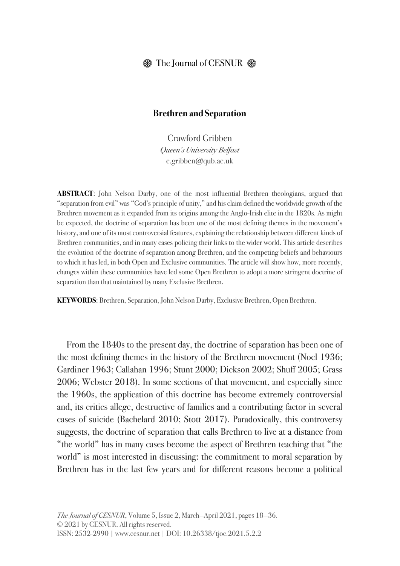# $\circledast$  The Journal of CESNUR  $\circledast$

#### **Brethren and Separation**

Crawford Gribben *Queen's University Belfast* c.gribben@qub.ac.uk

**ABSTRACT**: John Nelson Darby, one of the most influential Brethren theologians, argued that "separation from evil" was "God's principle of unity," and his claim defined the worldwide growth of the Brethren movement as it expanded from its origins among the Anglo-Irish elite in the 1820s. As might be expected, the doctrine of separation has been one of the most defining themes in the movement's history, and one of its most controversial features, explaining the relationship between different kinds of Brethren communities, and in many cases policing their links to the wider world. This article describes the evolution of the doctrine of separation among Brethren, and the competing beliefs and behaviours to which it has led, in both Open and Exclusive communities. The article will show how, more recently, changes within these communities have led some Open Brethren to adopt a more stringent doctrine of separation than that maintained by many Exclusive Brethren.

**KEYWORDS**: Brethren, Separation, John Nelson Darby, Exclusive Brethren, Open Brethren.

From the 1840s to the present day, the doctrine of separation has been one of the most defining themes in the history of the Brethren movement (Noel 1936; Gardiner 1963; Callahan 1996; Stunt 2000; Dickson 2002; Shuff 2005; Grass 2006; Webster 2018). In some sections of that movement, and especially since the 1960s, the application of this doctrine has become extremely controversial and, its critics allege, destructive of families and a contributing factor in several cases of suicide (Bachelard 2010; Stott 2017). Paradoxically, this controversy suggests, the doctrine of separation that calls Brethren to live at a distance from "the world" has in many cases become the aspect of Brethren teaching that "the world" is most interested in discussing: the commitment to moral separation by Brethren has in the last few years and for different reasons become a political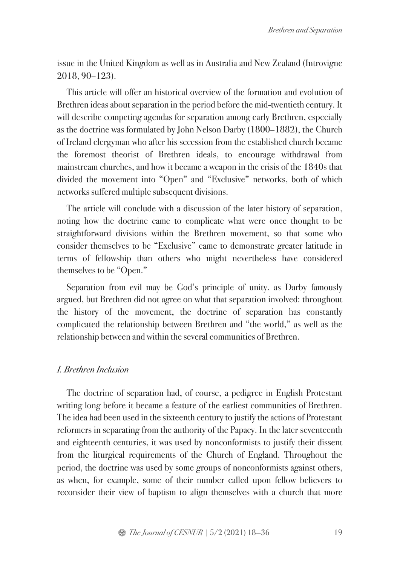issue in the United Kingdom as well as in Australia and New Zealand (Introvigne 2018, 90–123).

This article will offer an historical overview of the formation and evolution of Brethren ideas about separation in the period before the mid-twentieth century. It will describe competing agendas for separation among early Brethren, especially as the doctrine was formulated by John Nelson Darby (1800–1882), the Church of Ireland clergyman who after his secession from the established church became the foremost theorist of Brethren ideals, to encourage withdrawal from mainstream churches, and how it became a weapon in the crisis of the 1840s that divided the movement into "Open" and "Exclusive" networks, both of which networks suffered multiple subsequent divisions.

The article will conclude with a discussion of the later history of separation, noting how the doctrine came to complicate what were once thought to be straightforward divisions within the Brethren movement, so that some who consider themselves to be "Exclusive" came to demonstrate greater latitude in terms of fellowship than others who might nevertheless have considered themselves to be "Open."

Separation from evil may be God's principle of unity, as Darby famously argued, but Brethren did not agree on what that separation involved: throughout the history of the movement, the doctrine of separation has constantly complicated the relationship between Brethren and "the world," as well as the relationship between and within the several communities of Brethren.

## *I. Brethren Inclusion*

The doctrine of separation had, of course, a pedigree in English Protestant writing long before it became a feature of the earliest communities of Brethren. The idea had been used in the sixteenth century to justify the actions of Protestant reformers in separating from the authority of the Papacy. In the later seventeenth and eighteenth centuries, it was used by nonconformists to justify their dissent from the liturgical requirements of the Church of England. Throughout the period, the doctrine was used by some groups of nonconformists against others, as when, for example, some of their number called upon fellow believers to reconsider their view of baptism to align themselves with a church that more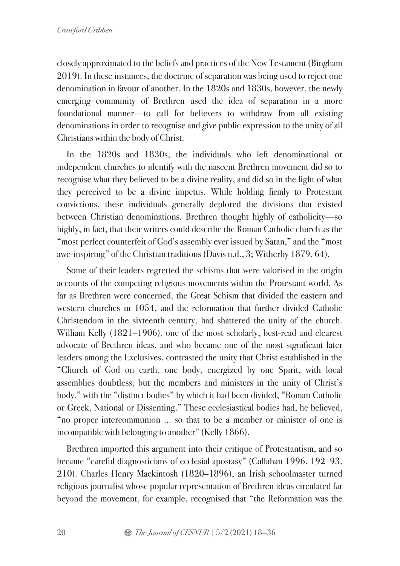closely approximated to the beliefs and practices of the New Testament (Bingham 2019). In these instances, the doctrine of separation was being used to reject one denomination in favour of another. In the 1820s and 1830s, however, the newly emerging community of Brethren used the idea of separation in a more foundational manner—to call for believers to withdraw from all existing denominations in order to recognise and give public expression to the unity of all Christians within the body of Christ.

In the 1820s and 1830s, the individuals who left denominational or independent churches to identify with the nascent Brethren movement did so to recognise what they believed to be a divine reality, and did so in the light of what they perceived to be a divine impetus. While holding firmly to Protestant convictions, these individuals generally deplored the divisions that existed between Christian denominations. Brethren thought highly of catholicity—so highly, in fact, that their writers could describe the Roman Catholic church as the "most perfect counterfeit of God's assembly ever issued by Satan," and the "most awe-inspiring" of the Christian traditions (Davis n.d., 3; Witherby 1879, 64).

Some of their leaders regretted the schisms that were valorised in the origin accounts of the competing religious movements within the Protestant world. As far as Brethren were concerned, the Great Schism that divided the eastern and western churches in 1054, and the reformation that further divided Catholic Christendom in the sixteenth century, had shattered the unity of the church. William Kelly (1821–1906), one of the most scholarly, best-read and clearest advocate of Brethren ideas, and who became one of the most significant later leaders among the Exclusives, contrasted the unity that Christ established in the "Church of God on earth, one body, energized by one Spirit, with local assemblies doubtless, but the members and ministers in the unity of Christ's body," with the "distinct bodies" by which it had been divided, "Roman Catholic or Greek, National or Dissenting." These ecclesiastical bodies had, he believed, "no proper intercommunion … so that to be a member or minister of one is incompatible with belonging to another" (Kelly 1866).

Brethren imported this argument into their critique of Protestantism, and so became "careful diagnosticians of ecclesial apostasy" (Callahan 1996, 192–93, 210). Charles Henry Mackintosh (1820–1896), an Irish schoolmaster turned religious journalist whose popular representation of Brethren ideas circulated far beyond the movement, for example, recognised that "the Reformation was the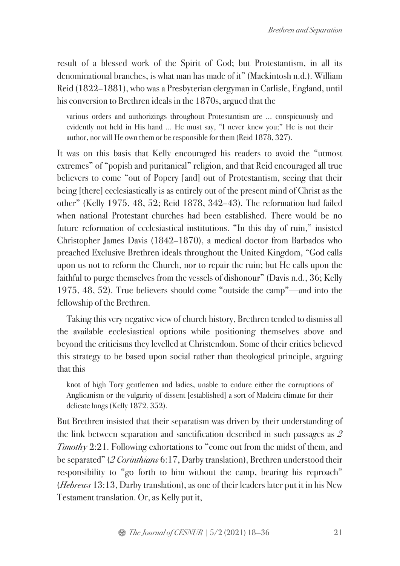result of a blessed work of the Spirit of God; but Protestantism, in all its denominational branches, is what man has made of it" (Mackintosh n.d.). William Reid (1822–1881), who was a Presbyterian clergyman in Carlisle, England, until his conversion to Brethren ideals in the 1870s, argued that the

various orders and authorizings throughout Protestantism are … conspicuously and evidently not held in His hand … He must say, "I never knew you;" He is not their author, nor will He own them or be responsible for them (Reid 1878, 327).

It was on this basis that Kelly encouraged his readers to avoid the "utmost extremes" of "popish and puritanical" religion, and that Reid encouraged all true believers to come "out of Popery [and] out of Protestantism, seeing that their being [there] ecclesiastically is as entirely out of the present mind of Christ as the other" (Kelly 1975, 48, 52; Reid 1878, 342–43). The reformation had failed when national Protestant churches had been established. There would be no future reformation of ecclesiastical institutions. "In this day of ruin," insisted Christopher James Davis (1842–1870), a medical doctor from Barbados who preached Exclusive Brethren ideals throughout the United Kingdom, "God calls upon us not to reform the Church, nor to repair the ruin; but He calls upon the faithful to purge themselves from the vessels of dishonour" (Davis n.d., 36; Kelly 1975, 48, 52). True believers should come "outside the camp"—and into the fellowship of the Brethren.

Taking this very negative view of church history, Brethren tended to dismiss all the available ecclesiastical options while positioning themselves above and beyond the criticisms they levelled at Christendom. Some of their critics believed this strategy to be based upon social rather than theological principle, arguing that this

knot of high Tory gentlemen and ladies, unable to endure either the corruptions of Anglicanism or the vulgarity of dissent [established] a sort of Madeira climate for their delicate lungs (Kelly 1872, 352).

But Brethren insisted that their separatism was driven by their understanding of the link between separation and sanctification described in such passages as *2 Timothy* 2:21. Following exhortations to "come out from the midst of them, and be separated" (*2 Corinthians* 6:17, Darby translation), Brethren understood their responsibility to "go forth to him without the camp, bearing his reproach" (*Hebrews* 13:13, Darby translation), as one of their leaders later put it in his New Testament translation. Or, as Kelly put it,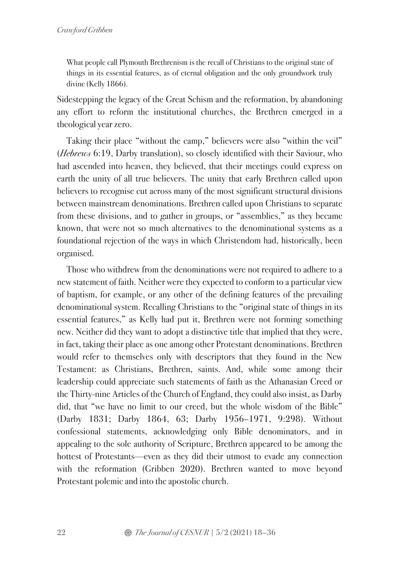What people call Plymouth Brethrenism is the recall of Christians to the original state of things in its essential features, as of eternal obligation and the only groundwork truly divine (Kelly 1866).

Sidestepping the legacy of the Great Schism and the reformation, by abandoning any effort to reform the institutional churches, the Brethren emerged in a theological year zero.

Taking their place "without the camp," believers were also "within the veil" (*Hebrews* 6:19, Darby translation), so closely identified with their Saviour, who had ascended into heaven, they believed, that their meetings could express on earth the unity of all true believers. The unity that early Brethren called upon believers to recognise cut across many of the most significant structural divisions between mainstream denominations. Brethren called upon Christians to separate from these divisions, and to gather in groups, or "assemblies," as they became known, that were not so much alternatives to the denominational systems as a foundational rejection of the ways in which Christendom had, historically, been organised.

Those who withdrew from the denominations were not required to adhere to a new statement of faith. Neither were they expected to conform to a particular view of baptism, for example, or any other of the defining features of the prevailing denominational system. Recalling Christians to the "original state of things in its essential features," as Kelly had put it, Brethren were not forming something new. Neither did they want to adopt a distinctive title that implied that they were, in fact, taking their place as one among other Protestant denominations. Brethren would refer to themselves only with descriptors that they found in the New Testament: as Christians, Brethren, saints. And, while some among their leadership could appreciate such statements of faith as the Athanasian Creed or the Thirty-nine Articles of the Church of England, they could also insist, as Darby did, that "we have no limit to our creed, but the whole wisdom of the Bible" (Darby 1831; Darby 1864, 63; Darby 1956–1971, 9:298). Without confessional statements, acknowledging only Bible denominators, and in appealing to the sole authority of Scripture, Brethren appeared to be among the hottest of Protestants—even as they did their utmost to evade any connection with the reformation (Gribben 2020). Brethren wanted to move beyond Protestant polemic and into the apostolic church.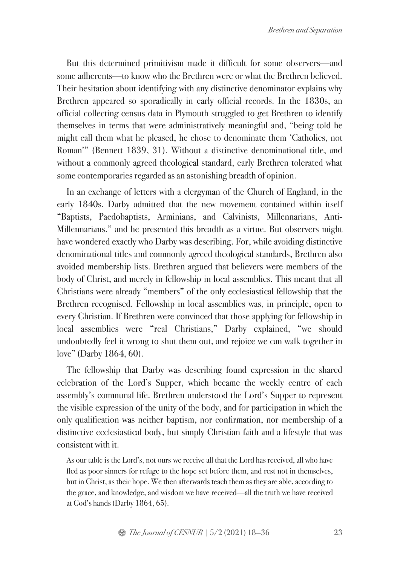But this determined primitivism made it difficult for some observers—and some adherents—to know who the Brethren were or what the Brethren believed. Their hesitation about identifying with any distinctive denominator explains why Brethren appeared so sporadically in early official records. In the 1830s, an official collecting census data in Plymouth struggled to get Brethren to identify themselves in terms that were administratively meaningful and, "being told he might call them what he pleased, he chose to denominate them 'Catholics, not Roman'" (Bennett 1839, 31). Without a distinctive denominational title, and without a commonly agreed theological standard, early Brethren tolerated what some contemporaries regarded as an astonishing breadth of opinion.

In an exchange of letters with a clergyman of the Church of England, in the early 1840s, Darby admitted that the new movement contained within itself "Baptists, Paedobaptists, Arminians, and Calvinists, Millennarians, Anti-Millennarians," and he presented this breadth as a virtue. But observers might have wondered exactly who Darby was describing. For, while avoiding distinctive denominational titles and commonly agreed theological standards, Brethren also avoided membership lists. Brethren argued that believers were members of the body of Christ, and merely in fellowship in local assemblies. This meant that all Christians were already "members" of the only ecclesiastical fellowship that the Brethren recognised. Fellowship in local assemblies was, in principle, open to every Christian. If Brethren were convinced that those applying for fellowship in local assemblies were "real Christians," Darby explained, "we should undoubtedly feel it wrong to shut them out, and rejoice we can walk together in love" (Darby 1864, 60).

The fellowship that Darby was describing found expression in the shared celebration of the Lord's Supper, which became the weekly centre of each assembly's communal life. Brethren understood the Lord's Supper to represent the visible expression of the unity of the body, and for participation in which the only qualification was neither baptism, nor confirmation, nor membership of a distinctive ecclesiastical body, but simply Christian faith and a lifestyle that was consistent with it.

As our table is the Lord's, not ours we receive all that the Lord has received, all who have fled as poor sinners for refuge to the hope set before them, and rest not in themselves, but in Christ, as their hope. We then afterwards teach them as they are able, according to the grace, and knowledge, and wisdom we have received—all the truth we have received at God's hands (Darby 1864, 65).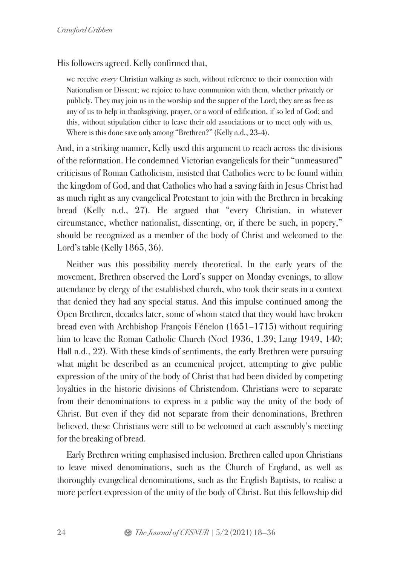His followers agreed. Kelly confirmed that,

we receive *every* Christian walking as such, without reference to their connection with Nationalism or Dissent; we rejoice to have communion with them, whether privately or publicly. They may join us in the worship and the supper of the Lord; they are as free as any of us to help in thanksgiving, prayer, or a word of edification, if so led of God; and this, without stipulation either to leave their old associations or to meet only with us. Where is this done save only among "Brethren?" (Kelly n.d., 23-4).

And, in a striking manner, Kelly used this argument to reach across the divisions of the reformation. He condemned Victorian evangelicals for their "unmeasured" criticisms of Roman Catholicism, insisted that Catholics were to be found within the kingdom of God, and that Catholics who had a saving faith in Jesus Christ had as much right as any evangelical Protestant to join with the Brethren in breaking bread (Kelly n.d., 27). He argued that "every Christian, in whatever circumstance, whether nationalist, dissenting, or, if there be such, in popery," should be recognized as a member of the body of Christ and welcomed to the Lord's table (Kelly 1865, 36).

Neither was this possibility merely theoretical. In the early years of the movement, Brethren observed the Lord's supper on Monday evenings, to allow attendance by clergy of the established church, who took their seats in a context that denied they had any special status. And this impulse continued among the Open Brethren, decades later, some of whom stated that they would have broken bread even with Archbishop François Fénelon (1651–1715) without requiring him to leave the Roman Catholic Church (Noel 1936, 1.39; Lang 1949, 140; Hall n.d., 22). With these kinds of sentiments, the early Brethren were pursuing what might be described as an ecumenical project, attempting to give public expression of the unity of the body of Christ that had been divided by competing loyalties in the historic divisions of Christendom. Christians were to separate from their denominations to express in a public way the unity of the body of Christ. But even if they did not separate from their denominations, Brethren believed, these Christians were still to be welcomed at each assembly's meeting for the breaking of bread.

Early Brethren writing emphasised inclusion. Brethren called upon Christians to leave mixed denominations, such as the Church of England, as well as thoroughly evangelical denominations, such as the English Baptists, to realise a more perfect expression of the unity of the body of Christ. But this fellowship did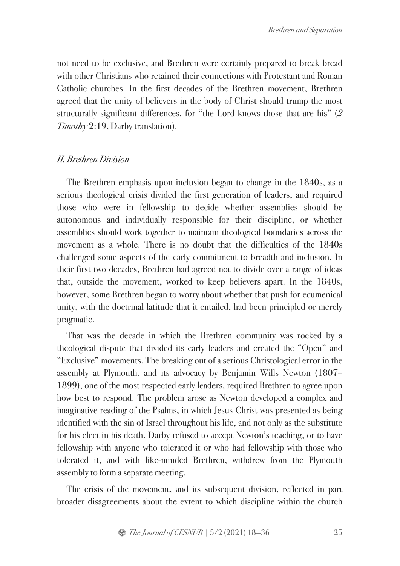not need to be exclusive, and Brethren were certainly prepared to break bread with other Christians who retained their connections with Protestant and Roman Catholic churches. In the first decades of the Brethren movement, Brethren agreed that the unity of believers in the body of Christ should trump the most structurally significant differences, for "the Lord knows those that are his" (*2 Timothy* 2:19, Darby translation).

## *II. Brethren Division*

The Brethren emphasis upon inclusion began to change in the 1840s, as a serious theological crisis divided the first generation of leaders, and required those who were in fellowship to decide whether assemblies should be autonomous and individually responsible for their discipline, or whether assemblies should work together to maintain theological boundaries across the movement as a whole. There is no doubt that the difficulties of the 1840s challenged some aspects of the early commitment to breadth and inclusion. In their first two decades, Brethren had agreed not to divide over a range of ideas that, outside the movement, worked to keep believers apart. In the 1840s, however, some Brethren began to worry about whether that push for ecumenical unity, with the doctrinal latitude that it entailed, had been principled or merely pragmatic.

That was the decade in which the Brethren community was rocked by a theological dispute that divided its early leaders and created the "Open" and "Exclusive" movements. The breaking out of a serious Christological error in the assembly at Plymouth, and its advocacy by Benjamin Wills Newton (1807– 1899), one of the most respected early leaders, required Brethren to agree upon how best to respond. The problem arose as Newton developed a complex and imaginative reading of the Psalms, in which Jesus Christ was presented as being identified with the sin of Israel throughout his life, and not only as the substitute for his elect in his death. Darby refused to accept Newton's teaching, or to have fellowship with anyone who tolerated it or who had fellowship with those who tolerated it, and with like-minded Brethren, withdrew from the Plymouth assembly to form a separate meeting.

The crisis of the movement, and its subsequent division, reflected in part broader disagreements about the extent to which discipline within the church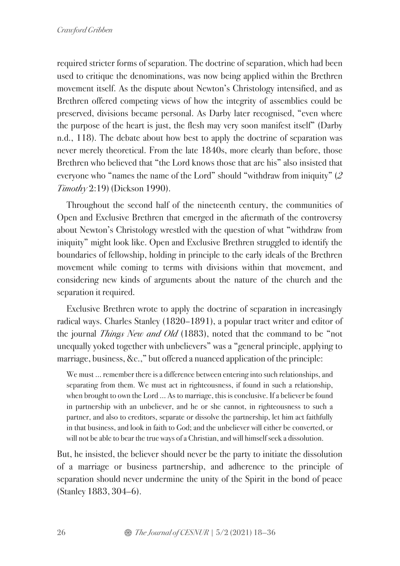required stricter forms of separation. The doctrine of separation, which had been used to critique the denominations, was now being applied within the Brethren movement itself. As the dispute about Newton's Christology intensified, and as Brethren offered competing views of how the integrity of assemblies could be preserved, divisions became personal. As Darby later recognised, "even where the purpose of the heart is just, the flesh may very soon manifest itself" (Darby n.d., 118). The debate about how best to apply the doctrine of separation was never merely theoretical. From the late 1840s, more clearly than before, those Brethren who believed that "the Lord knows those that are his" also insisted that everyone who "names the name of the Lord" should "withdraw from iniquity" (*2 Timothy* 2:19) (Dickson 1990).

Throughout the second half of the nineteenth century, the communities of Open and Exclusive Brethren that emerged in the aftermath of the controversy about Newton's Christology wrestled with the question of what "withdraw from iniquity" might look like. Open and Exclusive Brethren struggled to identify the boundaries of fellowship, holding in principle to the early ideals of the Brethren movement while coming to terms with divisions within that movement, and considering new kinds of arguments about the nature of the church and the separation it required.

Exclusive Brethren wrote to apply the doctrine of separation in increasingly radical ways. Charles Stanley (1820–1891), a popular tract writer and editor of the journal *Things New and Old* (1883), noted that the command to be "not unequally yoked together with unbelievers" was a "general principle, applying to marriage, business, &c.," but offered a nuanced application of the principle:

We must … remember there is a difference between entering into such relationships, and separating from them. We must act in righteousness, if found in such a relationship, when brought to own the Lord … As to marriage, this is conclusive. If a believer be found in partnership with an unbeliever, and he or she cannot, in righteousness to such a partner, and also to creditors, separate or dissolve the partnership, let him act faithfully in that business, and look in faith to God; and the unbeliever will either be converted, or will not be able to bear the true ways of a Christian, and will himself seek a dissolution.

But, he insisted, the believer should never be the party to initiate the dissolution of a marriage or business partnership, and adherence to the principle of separation should never undermine the unity of the Spirit in the bond of peace (Stanley 1883, 304–6).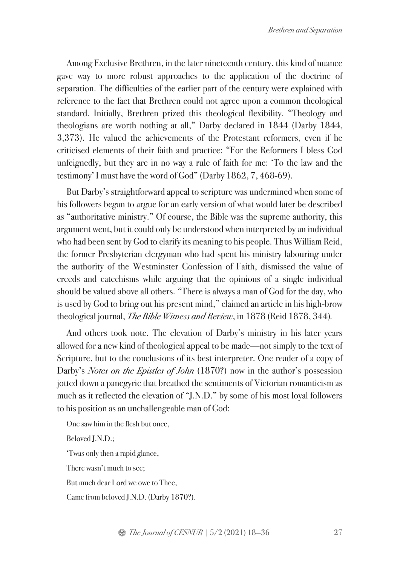Among Exclusive Brethren, in the later nineteenth century, this kind of nuance gave way to more robust approaches to the application of the doctrine of separation. The difficulties of the earlier part of the century were explained with reference to the fact that Brethren could not agree upon a common theological standard. Initially, Brethren prized this theological flexibility. "Theology and theologians are worth nothing at all," Darby declared in 1844 (Darby 1844, 3,373). He valued the achievements of the Protestant reformers, even if he criticised elements of their faith and practice: "For the Reformers I bless God unfeignedly, but they are in no way a rule of faith for me: 'To the law and the testimony' I must have the word of God" (Darby 1862, 7, 468-69).

But Darby's straightforward appeal to scripture was undermined when some of his followers began to argue for an early version of what would later be described as "authoritative ministry." Of course, the Bible was the supreme authority, this argument went, but it could only be understood when interpreted by an individual who had been sent by God to clarify its meaning to his people. Thus William Reid, the former Presbyterian clergyman who had spent his ministry labouring under the authority of the Westminster Confession of Faith, dismissed the value of creeds and catechisms while arguing that the opinions of a single individual should be valued above all others. "There is always a man of God for the day, who is used by God to bring out his present mind," claimed an article in his high-brow theological journal, *The Bible Witness and Review*, in 1878 (Reid 1878, 344)*.* 

And others took note. The elevation of Darby's ministry in his later years allowed for a new kind of theological appeal to be made—not simply to the text of Scripture, but to the conclusions of its best interpreter. One reader of a copy of Darby's *Notes on the Epistles of John* (1870?) now in the author's possession jotted down a panegyric that breathed the sentiments of Victorian romanticism as much as it reflected the elevation of "J.N.D." by some of his most loyal followers to his position as an unchallengeable man of God:

One saw him in the flesh but once, Beloved J.N.D.; 'Twas only then a rapid glance, There wasn't much to see; But much dear Lord we owe to Thee, Came from beloved J.N.D. (Darby 1870?).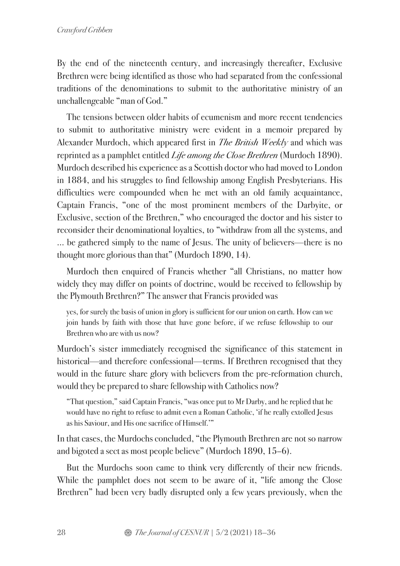By the end of the nineteenth century, and increasingly thereafter, Exclusive Brethren were being identified as those who had separated from the confessional traditions of the denominations to submit to the authoritative ministry of an unchallengeable "man of God."

The tensions between older habits of ecumenism and more recent tendencies to submit to authoritative ministry were evident in a memoir prepared by Alexander Murdoch, which appeared first in *The British Weekly* and which was reprinted as a pamphlet entitled *Life among the Close Brethren* (Murdoch 1890). Murdoch described his experience as a Scottish doctor who had moved to London in 1884, and his struggles to find fellowship among English Presbyterians. His difficulties were compounded when he met with an old family acquaintance, Captain Francis, "one of the most prominent members of the Darbyite, or Exclusive, section of the Brethren," who encouraged the doctor and his sister to reconsider their denominational loyalties, to "withdraw from all the systems, and … be gathered simply to the name of Jesus. The unity of believers—there is no thought more glorious than that" (Murdoch 1890, 14).

Murdoch then enquired of Francis whether "all Christians, no matter how widely they may differ on points of doctrine, would be received to fellowship by the Plymouth Brethren?" The answer that Francis provided was

yes, for surely the basis of union in glory is sufficient for our union on earth. How can we join hands by faith with those that have gone before, if we refuse fellowship to our Brethren who are with us now?

Murdoch's sister immediately recognised the significance of this statement in historical—and therefore confessional—terms. If Brethren recognised that they would in the future share glory with believers from the pre-reformation church, would they be prepared to share fellowship with Catholics now?

"That question," said Captain Francis, "was once put to Mr Darby, and he replied that he would have no right to refuse to admit even a Roman Catholic, 'if he really extolled Jesus as his Saviour, and His one sacrifice of Himself.'"

In that cases, the Murdochs concluded, "the Plymouth Brethren are not so narrow and bigoted a sect as most people believe" (Murdoch 1890, 15–6).

But the Murdochs soon came to think very differently of their new friends. While the pamphlet does not seem to be aware of it, "life among the Close Brethren" had been very badly disrupted only a few years previously, when the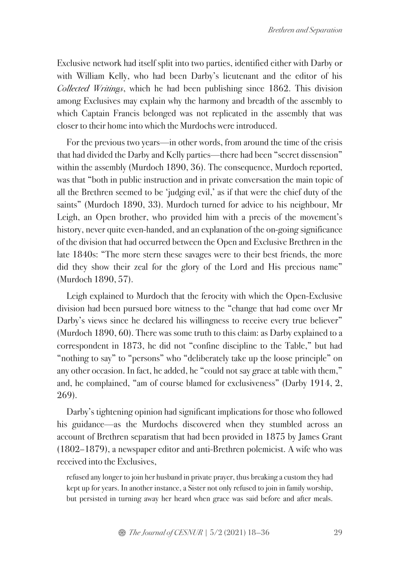Exclusive network had itself split into two parties, identified either with Darby or with William Kelly, who had been Darby's lieutenant and the editor of his *Collected Writings*, which he had been publishing since 1862. This division among Exclusives may explain why the harmony and breadth of the assembly to which Captain Francis belonged was not replicated in the assembly that was closer to their home into which the Murdochs were introduced.

For the previous two years—in other words, from around the time of the crisis that had divided the Darby and Kelly parties—there had been "secret dissension" within the assembly (Murdoch 1890, 36). The consequence, Murdoch reported, was that "both in public instruction and in private conversation the main topic of all the Brethren seemed to be 'judging evil,' as if that were the chief duty of the saints" (Murdoch 1890, 33). Murdoch turned for advice to his neighbour, Mr Leigh, an Open brother, who provided him with a precis of the movement's history, never quite even-handed, and an explanation of the on-going significance of the division that had occurred between the Open and Exclusive Brethren in the late 1840s: "The more stern these savages were to their best friends, the more did they show their zeal for the glory of the Lord and His precious name" (Murdoch 1890, 57).

Leigh explained to Murdoch that the ferocity with which the Open-Exclusive division had been pursued bore witness to the "change that had come over Mr Darby's views since he declared his willingness to receive every true believer" (Murdoch 1890, 60). There was some truth to this claim: as Darby explained to a correspondent in 1873, he did not "confine discipline to the Table," but had "nothing to say" to "persons" who "deliberately take up the loose principle" on any other occasion. In fact, he added, he "could not say grace at table with them," and, he complained, "am of course blamed for exclusiveness" (Darby 1914, 2, 269).

Darby's tightening opinion had significant implications for those who followed his guidance—as the Murdochs discovered when they stumbled across an account of Brethren separatism that had been provided in 1875 by James Grant (1802–1879), a newspaper editor and anti-Brethren polemicist. A wife who was received into the Exclusives,

refused any longer to join her husband in private prayer, thus breaking a custom they had kept up for years. In another instance, a Sister not only refused to join in family worship, but persisted in turning away her heard when grace was said before and after meals.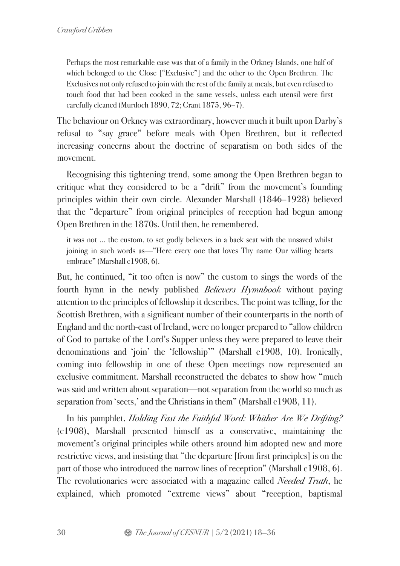Perhaps the most remarkable case was that of a family in the Orkney Islands, one half of which belonged to the Close ["Exclusive"] and the other to the Open Brethren. The Exclusives not only refused to join with the rest of the family at meals, but even refused to touch food that had been cooked in the same vessels, unless each utensil were first carefully cleaned (Murdoch 1890, 72; Grant 1875, 96–7).

The behaviour on Orkney was extraordinary, however much it built upon Darby's refusal to "say grace" before meals with Open Brethren, but it reflected increasing concerns about the doctrine of separatism on both sides of the movement.

Recognising this tightening trend, some among the Open Brethren began to critique what they considered to be a "drift" from the movement's founding principles within their own circle. Alexander Marshall (1846–1928) believed that the "departure" from original principles of reception had begun among Open Brethren in the 1870s. Until then, he remembered,

it was not … the custom, to set godly believers in a back seat with the unsaved whilst joining in such words as—"Here every one that loves Thy name Our willing hearts embrace" (Marshall c1908, 6).

But, he continued, "it too often is now" the custom to sings the words of the fourth hymn in the newly published *Believers Hymnbook* without paying attention to the principles of fellowship it describes. The point was telling, for the Scottish Brethren, with a significant number of their counterparts in the north of England and the north-east of Ireland, were no longer prepared to "allow children of God to partake of the Lord's Supper unless they were prepared to leave their denominations and 'join' the 'fellowship'" (Marshall c1908, 10). Ironically, coming into fellowship in one of these Open meetings now represented an exclusive commitment. Marshall reconstructed the debates to show how "much was said and written about separation—not separation from the world so much as separation from 'sects,' and the Christians in them" (Marshall c1908, 11).

In his pamphlet, *Holding Fast the Faithful Word: Whither Are We Drifting?*  (c1908), Marshall presented himself as a conservative, maintaining the movement's original principles while others around him adopted new and more restrictive views, and insisting that "the departure [from first principles] is on the part of those who introduced the narrow lines of reception" (Marshall c1908, 6). The revolutionaries were associated with a magazine called *Needed Truth*, he explained, which promoted "extreme views" about "reception, baptismal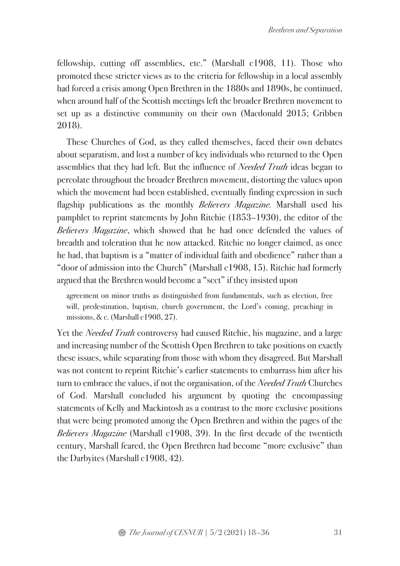fellowship, cutting off assemblies, etc." (Marshall c1908, 11). Those who promoted these stricter views as to the criteria for fellowship in a local assembly had forced a crisis among Open Brethren in the 1880s and 1890s, he continued, when around half of the Scottish meetings left the broader Brethren movement to set up as a distinctive community on their own (Macdonald 2015; Gribben 2018).

These Churches of God, as they called themselves, faced their own debates about separatism, and lost a number of key individuals who returned to the Open assemblies that they had left. But the influence of *Needed Truth* ideas began to percolate throughout the broader Brethren movement, distorting the values upon which the movement had been established, eventually finding expression in such flagship publications as the monthly *Believers Magazine.* Marshall used his pamphlet to reprint statements by John Ritchie (1853–1930), the editor of the *Believers Magazine*, which showed that he had once defended the values of breadth and toleration that he now attacked. Ritchie no longer claimed, as once he had, that baptism is a "matter of individual faith and obedience" rather than a "door of admission into the Church" (Marshall c1908, 15). Ritchie had formerly argued that the Brethren would become a "sect" if they insisted upon

agreement on minor truths as distinguished from fundamentals, such as election, free will, predestination, baptism, church government, the Lord's coming, preaching in missions, & c. (Marshall c1908, 27).

Yet the *Needed Truth* controversy had caused Ritchie, his magazine, and a large and increasing number of the Scottish Open Brethren to take positions on exactly these issues, while separating from those with whom they disagreed. But Marshall was not content to reprint Ritchie's earlier statements to embarrass him after his turn to embrace the values, if not the organisation, of the *Needed Truth* Churches of God. Marshall concluded his argument by quoting the encompassing statements of Kelly and Mackintosh as a contrast to the more exclusive positions that were being promoted among the Open Brethren and within the pages of the *Believers Magazine* (Marshall c1908, 39). In the first decade of the twentieth century, Marshall feared, the Open Brethren had become "more exclusive" than the Darbyites (Marshall c1908, 42).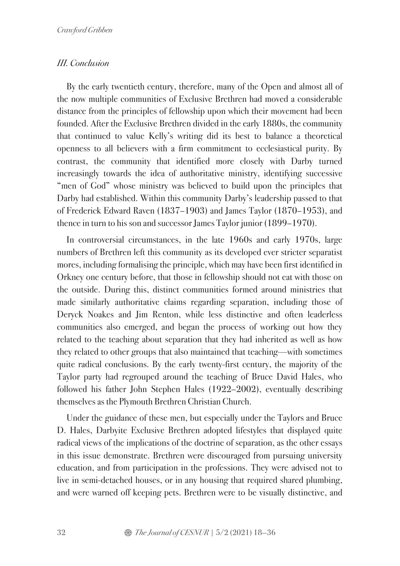## *III. Conclusion*

By the early twentieth century, therefore, many of the Open and almost all of the now multiple communities of Exclusive Brethren had moved a considerable distance from the principles of fellowship upon which their movement had been founded. After the Exclusive Brethren divided in the early 1880s, the community that continued to value Kelly's writing did its best to balance a theoretical openness to all believers with a firm commitment to ecclesiastical purity. By contrast, the community that identified more closely with Darby turned increasingly towards the idea of authoritative ministry, identifying successive "men of God" whose ministry was believed to build upon the principles that Darby had established. Within this community Darby's leadership passed to that of Frederick Edward Raven (1837–1903) and James Taylor (1870–1953), and thence in turn to his son and successor James Taylor junior (1899–1970).

In controversial circumstances, in the late 1960s and early 1970s, large numbers of Brethren left this community as its developed ever stricter separatist mores, including formalising the principle, which may have been first identified in Orkney one century before, that those in fellowship should not eat with those on the outside. During this, distinct communities formed around ministries that made similarly authoritative claims regarding separation, including those of Deryck Noakes and Jim Renton, while less distinctive and often leaderless communities also emerged, and began the process of working out how they related to the teaching about separation that they had inherited as well as how they related to other groups that also maintained that teaching—with sometimes quite radical conclusions. By the early twenty-first century, the majority of the Taylor party had regrouped around the teaching of Bruce David Hales, who followed his father John Stephen Hales (1922–2002), eventually describing themselves as the Plymouth Brethren Christian Church.

Under the guidance of these men, but especially under the Taylors and Bruce D. Hales, Darbyite Exclusive Brethren adopted lifestyles that displayed quite radical views of the implications of the doctrine of separation, as the other essays in this issue demonstrate. Brethren were discouraged from pursuing university education, and from participation in the professions. They were advised not to live in semi-detached houses, or in any housing that required shared plumbing, and were warned off keeping pets. Brethren were to be visually distinctive, and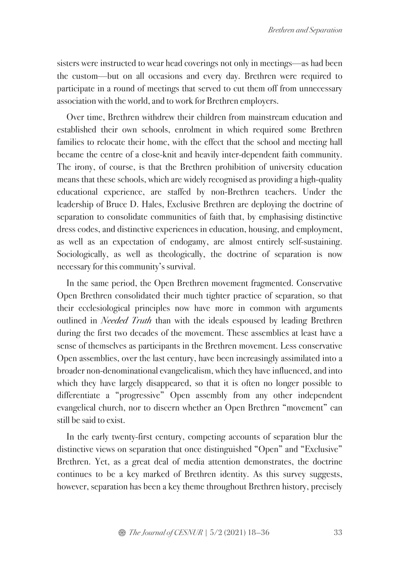sisters were instructed to wear head coverings not only in meetings—as had been the custom—but on all occasions and every day. Brethren were required to participate in a round of meetings that served to cut them off from unnecessary association with the world, and to work for Brethren employers.

Over time, Brethren withdrew their children from mainstream education and established their own schools, enrolment in which required some Brethren families to relocate their home, with the effect that the school and meeting hall became the centre of a close-knit and heavily inter-dependent faith community. The irony, of course, is that the Brethren prohibition of university education means that these schools, which are widely recognised as providing a high-quality educational experience, are staffed by non-Brethren teachers. Under the leadership of Bruce D. Hales, Exclusive Brethren are deploying the doctrine of separation to consolidate communities of faith that, by emphasising distinctive dress codes, and distinctive experiences in education, housing, and employment, as well as an expectation of endogamy, are almost entirely self-sustaining. Sociologically, as well as theologically, the doctrine of separation is now necessary for this community's survival.

In the same period, the Open Brethren movement fragmented. Conservative Open Brethren consolidated their much tighter practice of separation, so that their ecclesiological principles now have more in common with arguments outlined in *Needed Truth* than with the ideals espoused by leading Brethren during the first two decades of the movement. These assemblies at least have a sense of themselves as participants in the Brethren movement. Less conservative Open assemblies, over the last century, have been increasingly assimilated into a broader non-denominational evangelicalism, which they have influenced, and into which they have largely disappeared, so that it is often no longer possible to differentiate a "progressive" Open assembly from any other independent evangelical church, nor to discern whether an Open Brethren "movement" can still be said to exist.

In the early twenty-first century, competing accounts of separation blur the distinctive views on separation that once distinguished "Open" and "Exclusive" Brethren. Yet, as a great deal of media attention demonstrates, the doctrine continues to be a key marked of Brethren identity. As this survey suggests, however, separation has been a key theme throughout Brethren history, precisely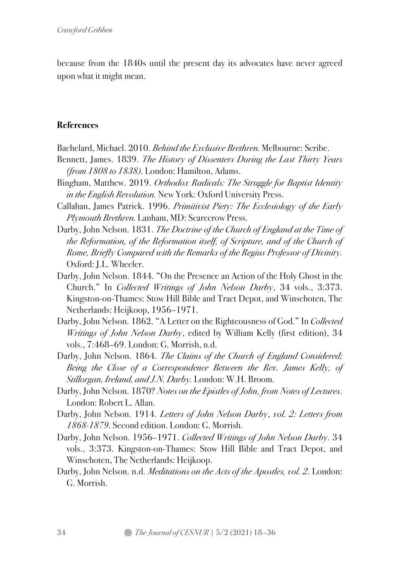because from the 1840s until the present day its advocates have never agreed upon what it might mean.

# **References**

Bachelard, Michael. 2010. *Behind the Exclusive Brethren.* Melbourne: Scribe.

- Bennett, James. 1839. *The History of Dissenters During the Last Thirty Years (from 1808 to 1838)*. London: Hamilton, Adams.
- Bingham, Matthew. 2019. *Orthodox Radicals: The Struggle for Baptist Identity in the English Revolution.* New York: Oxford University Press.
- Callahan, James Patrick. 1996. *Primitivist Piety: The Ecclesiology of the Early Plymouth Brethren.* Lanham, MD: Scarecrow Press.
- Darby, John Nelson. 1831. *The Doctrine of the Church of England at the Time of the Reformation, of the Reformation itself, of Scripture, and of the Church of Rome, Briefly Compared with the Remarks of the Regius Professor of Divinity.* Oxford: J.L. Wheeler.
- Darby, John Nelson. 1844. "On the Presence an Action of the Holy Ghost in the Church." In *Collected Writings of John Nelson Darby*, 34 vols., 3:373. Kingston-on-Thames: Stow Hill Bible and Tract Depot, and Winschoten, The Netherlands: Heijkoop, 1956–1971.
- Darby, John Nelson. 1862. "A Letter on the Righteousness of God." In *Collected Writings of John Nelson Darby*, edited by William Kelly (first edition), 34 vols., 7:468–69. London: G. Morrish, n.d.
- Darby, John Nelson. 1864. *The Claims of the Church of England Considered; Being the Close of a Correspondence Between the Rev. James Kelly, of Stillorgan, Ireland, and J.N. Darby.* London: W.H. Broom.
- Darby, John Nelson. 1870? *Notes on the Epistles of John, from Notes of Lectures*. London: Robert L. Allan.
- Darby, John Nelson. 1914. *Letters of John Nelson Darby*, *vol. 2: Letters from 1868-1879*. Second edition. London: G. Morrish.
- Darby, John Nelson. 1956–1971. *Collected Writings of John Nelson Darby*. 34 vols., 3:373. Kingston-on-Thames: Stow Hill Bible and Tract Depot, and Winschoten, The Netherlands: Heijkoop.
- Darby, John Nelson. n.d. *Meditations on the Acts of the Apostles, vol. 2*. London: G. Morrish.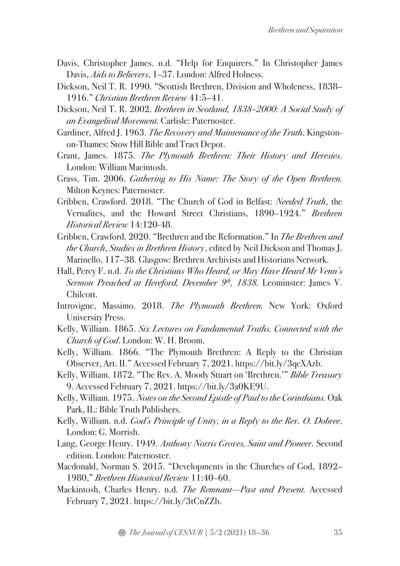- Davis, Christopher James. n.d. "Help for Enquirers." In Christopher James Davis, *Aids to Believers*, 1–37. London: Alfred Holness.
- Dickson, Neil T. R. 1990. "Scottish Brethren, Division and Wholeness, 1838– 1916." *Christian Brethren Review* 41:5–41.
- Dickson, Neil T. R. 2002. *Brethren in Scotland, 1838–2000: A Social Study of an Evangelical Movement.* Carlisle: Paternoster.
- Gardiner, Alfred J. 1963. *The Recovery and Maintenance of the Truth*. Kingstonon-Thames: Stow Hill Bible and Tract Depot.
- Grant, James. 1875. *The Plymouth Brethren: Their History and Heresies*. London: William Macintosh.
- Grass, Tim. 2006. *Gathering to His Name: The Story of the Open Brethren.*  Milton Keynes: Paternoster.
- Gribben, Crawford. 2018. "The Church of God in Belfast: *Needed Truth*, the Vernalites, and the Howard Street Christians, 1890–1924." *Brethren Historical Review* 14:120-48.
- Gribben, Crawford. 2020. "Brethren and the Reformation." In *The Brethren and the Church*, *Studies in Brethren History*, edited by Neil Dickson and Thomas J. Marinello, 117–38. Glasgow: Brethren Archivists and Historians Network.
- Hall, Percy F. n.d. *To the Christians Who Heard, or May Have Heard Mr Venn's Sermon Preached at Hereford, December 9<sup>th</sup>, 1838.* Leominster: James V. Chilcott.
- Introvigne, Massimo. 2018. *The Plymouth Brethren.* New York: Oxford University Press.
- Kelly, William. 1865. *Six Lectures on Fundamental Truths. Connected with the Church of God*. London: W. H. Broom.
- Kelly, William. 1866. "The Plymouth Brethren: A Reply to the Christian Observer, Art. II." Accessed February 7, 2021. https://bit.ly/3qcXAzb.
- Kelly, William. 1872. "The Rev. A. Moody Stuart on 'Brethren.'" *Bible Treasury* 9. Accessed February 7, 2021. https://bit.ly/3a0KE9U.
- Kelly, William. 1975. *Notes on the Second Epistle of Paul to the Corinthians.* Oak Park, IL: Bible Truth Publishers.
- Kelly, William. n.d. *God's Principle of Unity, in a Reply to the Rev. O. Dobree*. London: G. Morrish.
- Lang, George Henry. 1949. *Anthony Norris Groves, Saint and Pioneer*. Second edition. London: Paternoster.
- Macdonald, Norman S. 2015. "Developments in the Churches of God, 1892– 1980," *Brethren Historical Review* 11:40–60.
- Mackintosh, Charles Henry. n.d. *The Remnant—Past and Present.* Accessed February 7, 2021. https://bit.ly/3tCnZZb.